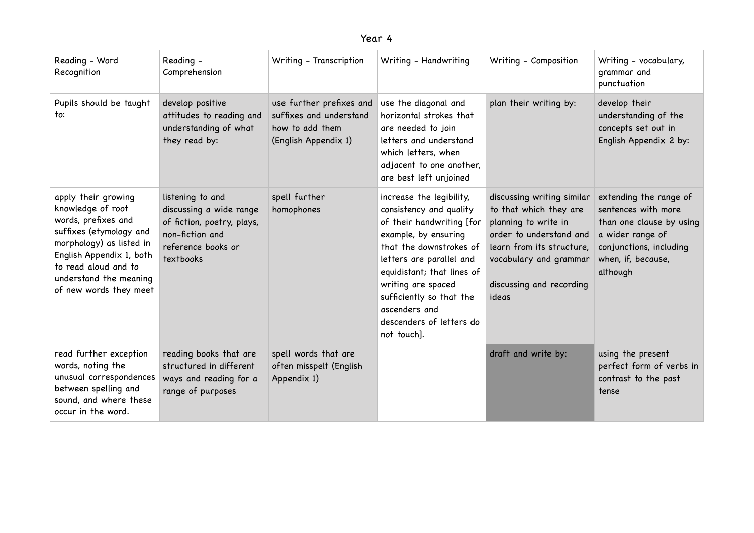| ear |  |
|-----|--|
|-----|--|

| Reading - Word<br>Recognition                                                                                                                                                                                                  | Reading -<br>Comprehension                                                                                                      | Writing - Transcription                                                                        | Writing - Handwriting                                                                                                                                                                                                                                                                                       | Writing - Composition                                                                                                                                                                               | Writing - vocabulary,<br>grammar and<br>punctuation                                                                                                        |
|--------------------------------------------------------------------------------------------------------------------------------------------------------------------------------------------------------------------------------|---------------------------------------------------------------------------------------------------------------------------------|------------------------------------------------------------------------------------------------|-------------------------------------------------------------------------------------------------------------------------------------------------------------------------------------------------------------------------------------------------------------------------------------------------------------|-----------------------------------------------------------------------------------------------------------------------------------------------------------------------------------------------------|------------------------------------------------------------------------------------------------------------------------------------------------------------|
| Pupils should be taught<br>to:                                                                                                                                                                                                 | develop positive<br>attitudes to reading and<br>understanding of what<br>they read by:                                          | use further prefixes and<br>suffixes and understand<br>how to add them<br>(English Appendix 1) | use the diagonal and<br>horizontal strokes that<br>are needed to join<br>letters and understand<br>which letters, when<br>adjacent to one another,<br>are best left unjoined                                                                                                                                | plan their writing by:                                                                                                                                                                              | develop their<br>understanding of the<br>concepts set out in<br>English Appendix 2 by:                                                                     |
| apply their growing<br>knowledge of root<br>words, prefixes and<br>suffixes (etymology and<br>morphology) as listed in<br>English Appendix 1, both<br>to read aloud and to<br>understand the meaning<br>of new words they meet | listening to and<br>discussing a wide range<br>of fiction, poetry, plays,<br>non-fiction and<br>reference books or<br>textbooks | spell further<br>homophones                                                                    | increase the legibility,<br>consistency and quality<br>of their handwriting [for<br>example, by ensuring<br>that the downstrokes of<br>letters are parallel and<br>equidistant; that lines of<br>writing are spaced<br>sufficiently so that the<br>ascenders and<br>descenders of letters do<br>not touch]. | discussing writing similar<br>to that which they are<br>planning to write in<br>order to understand and<br>learn from its structure,<br>vocabulary and grammar<br>discussing and recording<br>ideas | extending the range of<br>sentences with more<br>than one clause by using<br>a wider range of<br>conjunctions, including<br>when, if, because,<br>although |
| read further exception<br>words, noting the<br>unusual correspondences<br>between spelling and<br>sound, and where these<br>occur in the word.                                                                                 | reading books that are<br>structured in different<br>ways and reading for a<br>range of purposes                                | spell words that are<br>often misspelt (English<br>Appendix 1)                                 |                                                                                                                                                                                                                                                                                                             | draft and write by:                                                                                                                                                                                 | using the present<br>perfect form of verbs in<br>contrast to the past<br>tense                                                                             |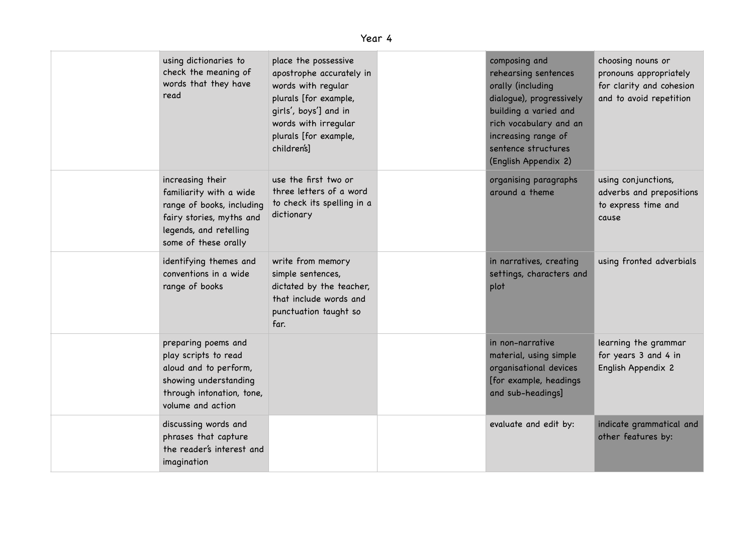| using dictionaries to<br>check the meaning of<br>words that they have<br>read                                                                          | place the possessive<br>apostrophe accurately in<br>words with regular<br>plurals [for example,<br>girls', boys'] and in<br>words with irregular<br>plurals [for example,<br>children's] | composing and<br>rehearsing sentences<br>orally (including<br>dialogue), progressively<br>building a varied and<br>rich vocabulary and an<br>increasing range of<br>sentence structures<br>(English Appendix 2) | choosing nouns or<br>pronouns appropriately<br>for clarity and cohesion<br>and to avoid repetition |
|--------------------------------------------------------------------------------------------------------------------------------------------------------|------------------------------------------------------------------------------------------------------------------------------------------------------------------------------------------|-----------------------------------------------------------------------------------------------------------------------------------------------------------------------------------------------------------------|----------------------------------------------------------------------------------------------------|
| increasing their<br>familiarity with a wide<br>range of books, including<br>fairy stories, myths and<br>legends, and retelling<br>some of these orally | use the first two or<br>three letters of a word<br>to check its spelling in a<br>dictionary                                                                                              | organising paragraphs<br>around a theme                                                                                                                                                                         | using conjunctions,<br>adverbs and prepositions<br>to express time and<br>cause                    |
| identifying themes and<br>conventions in a wide<br>range of books                                                                                      | write from memory<br>simple sentences,<br>dictated by the teacher,<br>that include words and<br>punctuation taught so<br>far.                                                            | in narratives, creating<br>settings, characters and<br>plot                                                                                                                                                     | using fronted adverbials                                                                           |
| preparing poems and<br>play scripts to read<br>aloud and to perform,<br>showing understanding<br>through intonation, tone,<br>volume and action        |                                                                                                                                                                                          | in non-narrative<br>material, using simple<br>organisational devices<br>[for example, headings<br>and sub-headings]                                                                                             | learning the grammar<br>for years 3 and 4 in<br>English Appendix 2                                 |
| discussing words and<br>phrases that capture<br>the reader's interest and<br>imagination                                                               |                                                                                                                                                                                          | evaluate and edit by:                                                                                                                                                                                           | indicate grammatical and<br>other features by:                                                     |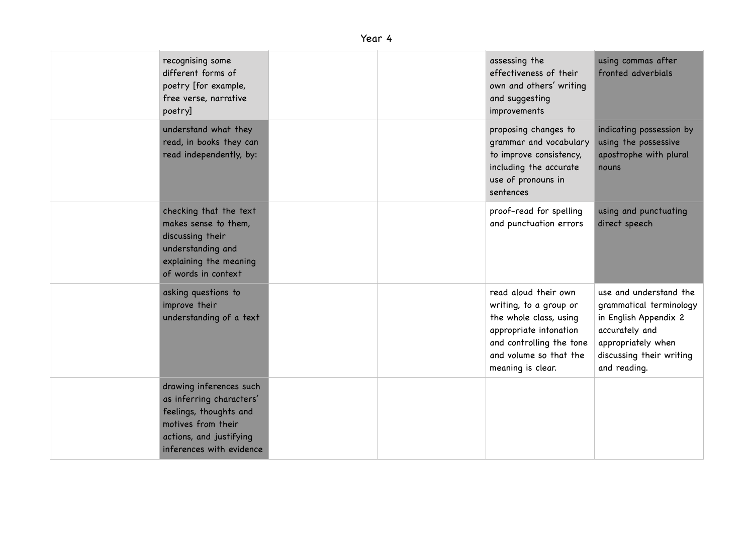## Year 4

| recognising some<br>different forms of<br>poetry [for example,<br>free verse, narrative<br>poetry]                                                         |  | assessing the<br>effectiveness of their<br>own and others' writing<br>and suggesting<br>improvements                                                                          | using commas after<br>fronted adverbials                                                                                                                       |
|------------------------------------------------------------------------------------------------------------------------------------------------------------|--|-------------------------------------------------------------------------------------------------------------------------------------------------------------------------------|----------------------------------------------------------------------------------------------------------------------------------------------------------------|
| understand what they<br>read, in books they can<br>read independently, by:                                                                                 |  | proposing changes to<br>grammar and vocabulary<br>to improve consistency,<br>including the accurate<br>use of pronouns in<br>sentences                                        | indicating possession by<br>using the possessive<br>apostrophe with plural<br>nouns                                                                            |
| checking that the text<br>makes sense to them,<br>discussing their<br>understanding and<br>explaining the meaning<br>of words in context                   |  | proof-read for spelling<br>and punctuation errors                                                                                                                             | using and punctuating<br>direct speech                                                                                                                         |
| asking questions to<br>improve their<br>understanding of a text                                                                                            |  | read aloud their own<br>writing, to a group or<br>the whole class, using<br>appropriate intonation<br>and controlling the tone<br>and volume so that the<br>meaning is clear. | use and understand the<br>grammatical terminology<br>in English Appendix 2<br>accurately and<br>appropriately when<br>discussing their writing<br>and reading. |
| drawing inferences such<br>as inferring characters'<br>feelings, thoughts and<br>motives from their<br>actions, and justifying<br>inferences with evidence |  |                                                                                                                                                                               |                                                                                                                                                                |